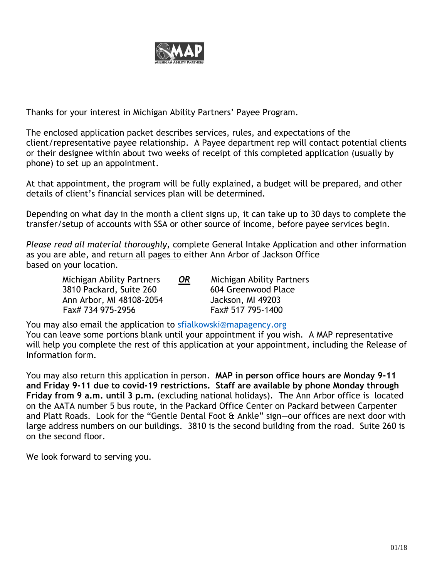

Thanks for your interest in Michigan Ability Partners' Payee Program.

The enclosed application packet describes services, rules, and expectations of the client/representative payee relationship. A Payee department rep will contact potential clients or their designee within about two weeks of receipt of this completed application (usually by phone) to set up an appointment.

At that appointment, the program will be fully explained, a budget will be prepared, and other details of client's financial services plan will be determined.

Depending on what day in the month a client signs up, it can take up to 30 days to complete the transfer/setup of accounts with SSA or other source of income, before payee services begin.

*Please read all material thoroughly,* complete General Intake Application and other information as you are able, and return all pages to either Ann Arbor of Jackson Office based on your location.

Michigan Ability Partners *OR* Michigan Ability Partners 3810 Packard, Suite 260 604 Greenwood Place Ann Arbor, MI 48108-2054 Jackson, MI 49203 Fax# 734 975-2956 Fax# 517 795-1400

You may also email the application to [sfialkowski@mapagency.org](mailto:sfialkowski@mapagency.org)  You can leave some portions blank until your appointment if you wish. A MAP representative will help you complete the rest of this application at your appointment, including the Release of Information form.

You may also return this application in person. **MAP in person office hours are Monday 9-11 and Friday 9-11 due to covid-19 restrictions. Staff are available by phone Monday through Friday from 9 a.m. until 3 p.m.** (excluding national holidays). The Ann Arbor office is located on the AATA number 5 bus route, in the Packard Office Center on Packard between Carpenter and Platt Roads. Look for the "Gentle Dental Foot & Ankle" sign—our offices are next door with large address numbers on our buildings. 3810 is the second building from the road. Suite 260 is on the second floor.

We look forward to serving you.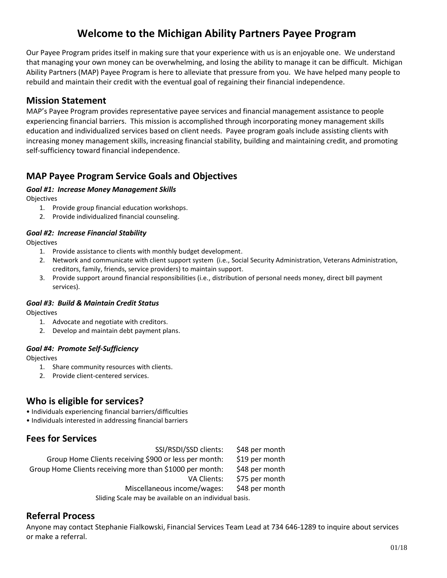## **Welcome to the Michigan Ability Partners Payee Program**

Our Payee Program prides itself in making sure that your experience with us is an enjoyable one. We understand that managing your own money can be overwhelming, and losing the ability to manage it can be difficult. Michigan Ability Partners (MAP) Payee Program is here to alleviate that pressure from you. We have helped many people to rebuild and maintain their credit with the eventual goal of regaining their financial independence.

#### **Mission Statement**

MAP's Payee Program provides representative payee services and financial management assistance to people experiencing financial barriers. This mission is accomplished through incorporating money management skills education and individualized services based on client needs. Payee program goals include assisting clients with increasing money management skills, increasing financial stability, building and maintaining credit, and promoting self-sufficiency toward financial independence.

### **MAP Payee Program Service Goals and Objectives**

#### *Goal #1: Increase Money Management Skills*

**Objectives** 

- 1. Provide group financial education workshops.
- 2. Provide individualized financial counseling.

#### *Goal #2: Increase Financial Stability*

**Objectives** 

- 1. Provide assistance to clients with monthly budget development.
- 2. Network and communicate with client support system (i.e., Social Security Administration, Veterans Administration, creditors, family, friends, service providers) to maintain support.
- 3. Provide support around financial responsibilities (i.e., distribution of personal needs money, direct bill payment services).

#### *Goal #3: Build & Maintain Credit Status*

Objectives

- 1. Advocate and negotiate with creditors.
- 2. Develop and maintain debt payment plans.

#### *Goal #4: Promote Self-Sufficiency*

Objectives

- 1. Share community resources with clients.
- 2. Provide client-centered services.

#### **Who is eligible for services?**

- Individuals experiencing financial barriers/difficulties
- Individuals interested in addressing financial barriers

#### **Fees for Services**

| SSI/RSDI/SSD clients:                                    | \$48 per month |  |
|----------------------------------------------------------|----------------|--|
| Group Home Clients receiving \$900 or less per month:    | \$19 per month |  |
| Group Home Clients receiving more than \$1000 per month: | \$48 per month |  |
| VA Clients:                                              | \$75 per month |  |
| Miscellaneous income/wages:                              | \$48 per month |  |
| Sliding Scale may be available on an individual basis.   |                |  |

#### **Referral Process**

Anyone may contact Stephanie Fialkowski, Financial Services Team Lead at 734 646-1289 to inquire about services or make a referral.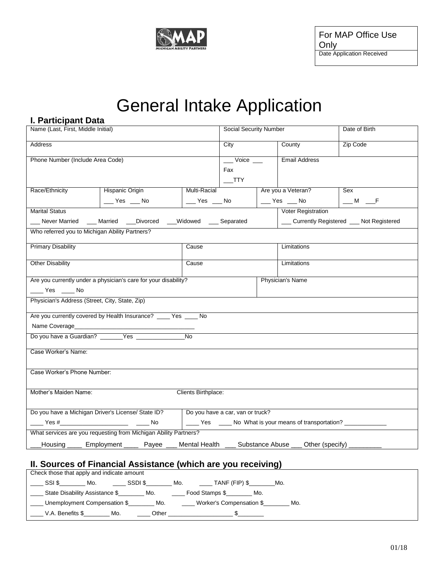

# General Intake Application

| I. Participant Data                                                                              |                                              |                                                       |  |                                                                         |                                                                                 |
|--------------------------------------------------------------------------------------------------|----------------------------------------------|-------------------------------------------------------|--|-------------------------------------------------------------------------|---------------------------------------------------------------------------------|
| Name (Last, First, Middle Initial)                                                               |                                              | <b>Social Security Number</b>                         |  |                                                                         | Date of Birth                                                                   |
| Address                                                                                          |                                              | City                                                  |  | County                                                                  | Zip Code                                                                        |
| Phone Number (Include Area Code)                                                                 |                                              | $\rule{1em}{0.15mm}$ $\vee$ oice $\rule{1em}{0.15mm}$ |  | <b>Email Address</b>                                                    |                                                                                 |
|                                                                                                  |                                              | Fax                                                   |  |                                                                         |                                                                                 |
|                                                                                                  |                                              | $\overline{\phantom{0}}$ TTY                          |  |                                                                         |                                                                                 |
| Race/Ethnicity<br>Hispanic Origin                                                                | <b>Multi-Racial</b>                          |                                                       |  | Are you a Veteran?                                                      | Sex                                                                             |
| $\xrightarrow{\ }$ Yes $\xrightarrow{\ }$ No                                                     | $\xrightarrow{\ }$ Yes $\xrightarrow{\ }$ No |                                                       |  | $\rule{1em}{0.15mm}$ Yes $\rule{1em}{0.15mm}$ No                        | $\underline{\hspace{1cm}}^{\mathsf{M}}$ $\underline{\hspace{1cm}}^{\mathsf{F}}$ |
| <b>Marital Status</b>                                                                            |                                              |                                                       |  | Voter Registration                                                      |                                                                                 |
| ___ Never Married ___ Married ___ Divorced ___ Widowed ___ Separated                             |                                              |                                                       |  |                                                                         | __ Currently Registered __ Not Registered                                       |
| Who referred you to Michigan Ability Partners?                                                   |                                              |                                                       |  |                                                                         |                                                                                 |
| <b>Primary Disability</b>                                                                        | Cause                                        |                                                       |  | Limitations                                                             |                                                                                 |
| <b>Other Disability</b>                                                                          | Cause                                        |                                                       |  | Limitations                                                             |                                                                                 |
| Are you currently under a physician's care for your disability?                                  |                                              |                                                       |  | <b>Physician's Name</b>                                                 |                                                                                 |
| $\rule{1em}{0.15mm}$ Yes $\rule{1em}{0.15mm}$ No                                                 |                                              |                                                       |  |                                                                         |                                                                                 |
| Physician's Address (Street, City, State, Zip)                                                   |                                              |                                                       |  |                                                                         |                                                                                 |
| Are you currently covered by Health Insurance? ____ Yes ____ No                                  |                                              |                                                       |  |                                                                         |                                                                                 |
| Name Coverage                                                                                    |                                              |                                                       |  |                                                                         |                                                                                 |
| Do you have a Guardian? _______Yes ___________                                                   | $\overline{N_0}$                             |                                                       |  |                                                                         |                                                                                 |
| Case Worker's Name:                                                                              |                                              |                                                       |  |                                                                         |                                                                                 |
| Case Worker's Phone Number:                                                                      |                                              |                                                       |  |                                                                         |                                                                                 |
|                                                                                                  |                                              |                                                       |  |                                                                         |                                                                                 |
| Mother's Maiden Name:                                                                            | Clients Birthplace:                          |                                                       |  |                                                                         |                                                                                 |
| Do you have a Michigan Driver's License/ State ID?   Do you have a car, van or truck?            |                                              |                                                       |  |                                                                         |                                                                                 |
|                                                                                                  |                                              |                                                       |  | _____ Yes ______ No What is your means of transportation? _____________ |                                                                                 |
| What services are you requesting from Michigan Ability Partners?                                 |                                              |                                                       |  |                                                                         |                                                                                 |
| Lousing _____ Employment _____ Payee ___ Mental Health ___ Substance Abuse ___ Other (specify) _ |                                              |                                                       |  |                                                                         |                                                                                 |

## **II. Sources of Financial Assistance (which are you receiving)**

| Check those that apply and indicate amount |         |                |                          |     |  |
|--------------------------------------------|---------|----------------|--------------------------|-----|--|
| SSI \$<br>Mo.                              | SSDI \$ | Mo.            | TANF (FIP) \$            | Mo. |  |
| State Disability Assistance \$             | Mo.     | Food Stamps \$ | Mo.                      |     |  |
| Unemployment Compensation \$               | Mo.     |                | Worker's Compensation \$ | Mo. |  |
| Mo.<br>V.A. Benefits \$                    | Other   |                |                          |     |  |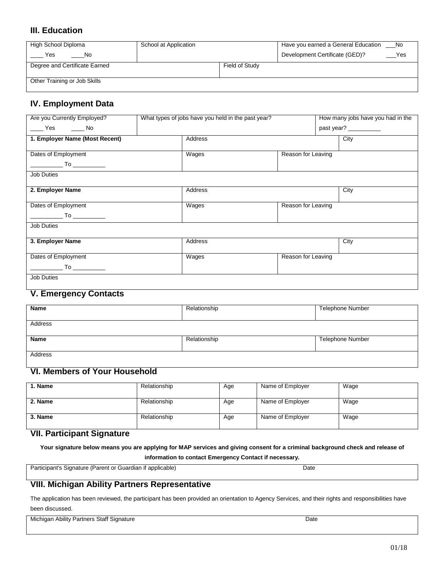#### **III. Education**

| High School Diploma           | School at Application |                | Have you earned a General Education<br>No. |
|-------------------------------|-----------------------|----------------|--------------------------------------------|
| Yes<br>No.                    |                       |                | Development Certificate (GED)?<br>Yes      |
| Degree and Certificate Earned |                       | Field of Study |                                            |
|                               |                       |                |                                            |
| Other Training or Job Skills  |                       |                |                                            |

#### **IV. Employment Data**

| Are you Currently Employed?    | What types of jobs have you held in the past year? |                    | How many jobs have you had in the |
|--------------------------------|----------------------------------------------------|--------------------|-----------------------------------|
| ____ Yes _____ No              |                                                    |                    | past year?                        |
| 1. Employer Name (Most Recent) | Address                                            |                    | City                              |
| Dates of Employment            | Wages                                              | Reason for Leaving |                                   |
|                                |                                                    |                    |                                   |
| Job Duties                     |                                                    |                    |                                   |
|                                |                                                    |                    |                                   |
| 2. Employer Name               | Address                                            |                    | City                              |
| Dates of Employment            | Wages                                              | Reason for Leaving |                                   |
|                                |                                                    |                    |                                   |
| _____________ To _____________ |                                                    |                    |                                   |
| Job Duties                     |                                                    |                    |                                   |
| 3. Employer Name               | Address                                            |                    | City                              |
| Dates of Employment            |                                                    | Reason for Leaving |                                   |
|                                | Wages                                              |                    |                                   |
|                                |                                                    |                    |                                   |
| <b>Job Duties</b>              |                                                    |                    |                                   |
| V Emproprove Contacte          |                                                    |                    |                                   |

#### **V. Emergency Contacts**

| Name           | Relationship | <b>Telephone Number</b> |
|----------------|--------------|-------------------------|
| <b>Address</b> |              |                         |
| <b>Name</b>    | Relationship | <b>Telephone Number</b> |
| Address        |              |                         |

## **VI. Members of Your Household**

| l. Name | Relationship | Age | Name of Employer | Wage |
|---------|--------------|-----|------------------|------|
| 2. Name | Relationship | Age | Name of Employer | Wage |
| 3. Name | Relationship | Age | Name of Employer | Wage |

#### **VII. Participant Signature**

**Your signature below means you are applying for MAP services and giving consent for a criminal background check and release of** 

**information to contact Emergency Contact if necessary.**

Participant's Signature (Parent or Guardian if applicable) Date

#### **VIII. Michigan Ability Partners Representative**

The application has been reviewed, the participant has been provided an orientation to Agency Services, and their rights and responsibilities have been discussed.

Michigan Ability Partners Staff Signature Date Date Date Date Date Date Date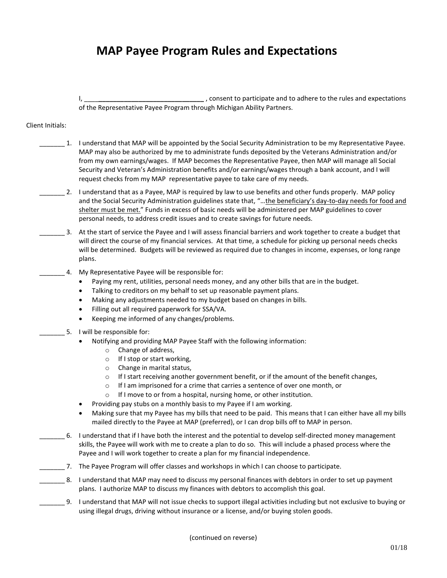## **MAP Payee Program Rules and Expectations**

I, \_\_\_\_**\_\_\_\_\_\_\_\_\_\_\_\_\_\_\_\_\_\_\_\_\_\_\_\_\_\_\_\_\_** , consent to participate and to adhere to the rules and expectations of the Representative Payee Program through Michigan Ability Partners.

#### Client Initials:

- \_\_\_\_\_\_\_ 1. I understand that MAP will be appointed by the Social Security Administration to be my Representative Payee. MAP may also be authorized by me to administrate funds deposited by the Veterans Administration and/or from my own earnings/wages. If MAP becomes the Representative Payee, then MAP will manage all Social Security and Veteran's Administration benefits and/or earnings/wages through a bank account, and I will request checks from my MAP representative payee to take care of my needs.
- \_\_\_\_\_\_\_ 2. I understand that as a Payee, MAP is required by law to use benefits and other funds properly. MAP policy and the Social Security Administration guidelines state that, "...the beneficiary's day-to-day needs for food and shelter must be met." Funds in excess of basic needs will be administered per MAP guidelines to cover personal needs, to address credit issues and to create savings for future needs.
- \_\_\_\_\_\_\_ 3. At the start of service the Payee and I will assess financial barriers and work together to create a budget that will direct the course of my financial services. At that time, a schedule for picking up personal needs checks will be determined. Budgets will be reviewed as required due to changes in income, expenses, or long range plans.
- 4. My Representative Payee will be responsible for:
	- Paying my rent, utilities, personal needs money, and any other bills that are in the budget.
	- Talking to creditors on my behalf to set up reasonable payment plans.
	- Making any adjustments needed to my budget based on changes in bills.
	- Filling out all required paperwork for SSA/VA.
	- Keeping me informed of any changes/problems.
	- 5. I will be responsible for:
		- Notifying and providing MAP Payee Staff with the following information:
			- o Change of address,
			- o If I stop or start working,
			- o Change in marital status,
			- $\circ$  If I start receiving another government benefit, or if the amount of the benefit changes,
			- o If I am imprisoned for a crime that carries a sentence of over one month, or
			- o If I move to or from a hospital, nursing home, or other institution.
		- Providing pay stubs on a monthly basis to my Payee if I am working.
		- Making sure that my Payee has my bills that need to be paid. This means that I can either have all my bills mailed directly to the Payee at MAP (preferred), or I can drop bills off to MAP in person.
- \_\_\_\_\_\_\_ 6. I understand that if I have both the interest and the potential to develop self-directed money management skills, the Payee will work with me to create a plan to do so. This will include a phased process where the Payee and I will work together to create a plan for my financial independence.
- \_\_\_\_\_\_\_ 7. The Payee Program will offer classes and workshops in which I can choose to participate.
- \_\_\_\_\_\_\_ 8. I understand that MAP may need to discuss my personal finances with debtors in order to set up payment plans. I authorize MAP to discuss my finances with debtors to accomplish this goal.
- \_\_\_\_\_\_\_ 9. I understand that MAP will not issue checks to support illegal activities including but not exclusive to buying or using illegal drugs, driving without insurance or a license, and/or buying stolen goods.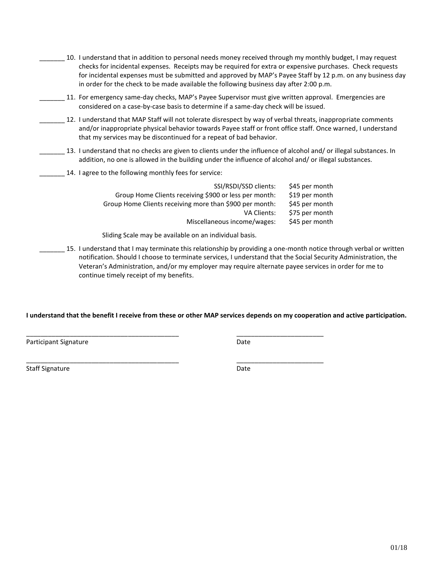- \_\_\_\_\_\_\_ 10. I understand that in addition to personal needs money received through my monthly budget, I may request checks for incidental expenses. Receipts may be required for extra or expensive purchases. Check requests for incidental expenses must be submitted and approved by MAP's Payee Staff by 12 p.m. on any business day in order for the check to be made available the following business day after 2:00 p.m.
- \_\_\_\_\_\_\_ 11. For emergency same-day checks, MAP's Payee Supervisor must give written approval. Emergencies are considered on a case-by-case basis to determine if a same-day check will be issued.
- \_\_\_\_\_\_\_ 12. I understand that MAP Staff will not tolerate disrespect by way of verbal threats, inappropriate comments and/or inappropriate physical behavior towards Payee staff or front office staff. Once warned, I understand that my services may be discontinued for a repeat of bad behavior.
	- \_\_\_\_\_\_\_ 13. I understand that no checks are given to clients under the influence of alcohol and/ or illegal substances. In addition, no one is allowed in the building under the influence of alcohol and/ or illegal substances.
- 14. I agree to the following monthly fees for service:

| SSI/RSDI/SSD clients:                                   | \$45 per month |
|---------------------------------------------------------|----------------|
| Group Home Clients receiving \$900 or less per month:   | \$19 per month |
| Group Home Clients receiving more than \$900 per month: | \$45 per month |
| VA Clients:                                             | \$75 per month |
| Miscellaneous income/wages:                             | \$45 per month |
|                                                         |                |

Sliding Scale may be available on an individual basis.

\_\_\_\_\_\_\_\_\_\_\_\_\_\_\_\_\_\_\_\_\_\_\_\_\_\_\_\_\_\_\_\_\_\_\_\_\_\_\_\_\_\_ \_\_\_\_\_\_\_\_\_\_\_\_\_\_\_\_\_\_\_\_\_\_\_\_

\_\_\_\_\_\_\_\_\_\_\_\_\_\_\_\_\_\_\_\_\_\_\_\_\_\_\_\_\_\_\_\_\_\_\_\_\_\_\_\_\_\_ \_\_\_\_\_\_\_\_\_\_\_\_\_\_\_\_\_\_\_\_\_\_\_\_

\_\_\_\_\_\_\_ 15. I understand that I may terminate this relationship by providing a one-month notice through verbal or written notification. Should I choose to terminate services, I understand that the Social Security Administration, the Veteran's Administration, and/or my employer may require alternate payee services in order for me to continue timely receipt of my benefits.

#### **I understand that the benefit I receive from these or other MAP services depends on my cooperation and active participation.**

Participant Signature Date

Staff Signature Date